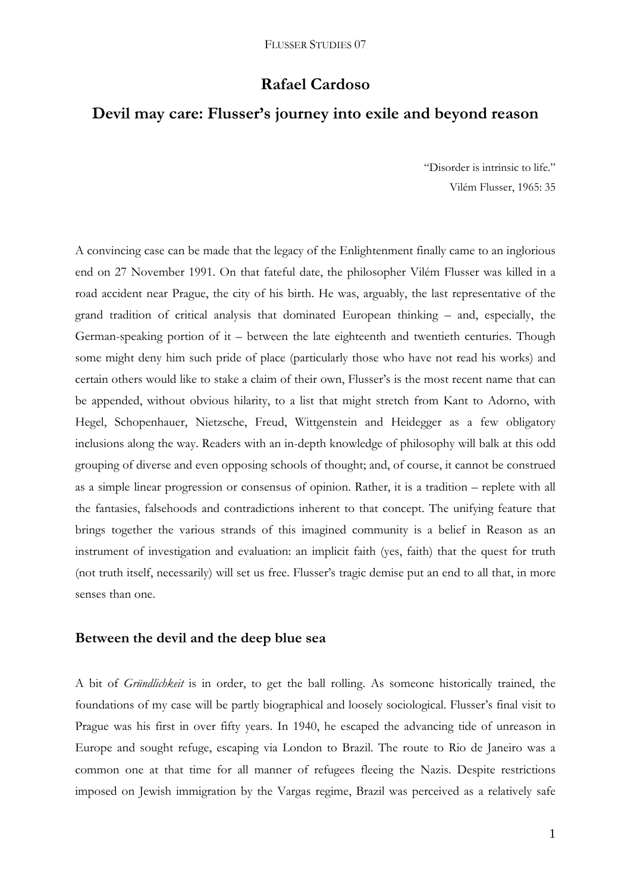## **Rafael Cardoso**

# **Devil may care: Flusser's journey into exile and beyond reason**

"Disorder is intrinsic to life." Vilém Flusser, 1965: 35

A convincing case can be made that the legacy of the Enlightenment finally came to an inglorious end on 27 November 1991. On that fateful date, the philosopher Vilém Flusser was killed in a road accident near Prague, the city of his birth. He was, arguably, the last representative of the grand tradition of critical analysis that dominated European thinking – and, especially, the German-speaking portion of it – between the late eighteenth and twentieth centuries. Though some might deny him such pride of place (particularly those who have not read his works) and certain others would like to stake a claim of their own, Flusser's is the most recent name that can be appended, without obvious hilarity, to a list that might stretch from Kant to Adorno, with Hegel, Schopenhauer, Nietzsche, Freud, Wittgenstein and Heidegger as a few obligatory inclusions along the way. Readers with an in-depth knowledge of philosophy will balk at this odd grouping of diverse and even opposing schools of thought; and, of course, it cannot be construed as a simple linear progression or consensus of opinion. Rather, it is a tradition – replete with all the fantasies, falsehoods and contradictions inherent to that concept. The unifying feature that brings together the various strands of this imagined community is a belief in Reason as an instrument of investigation and evaluation: an implicit faith (yes, faith) that the quest for truth (not truth itself, necessarily) will set us free. Flusser's tragic demise put an end to all that, in more senses than one.

### **Between the devil and the deep blue sea**

A bit of *Gründlichkeit* is in order, to get the ball rolling. As someone historically trained, the foundations of my case will be partly biographical and loosely sociological. Flusser's final visit to Prague was his first in over fifty years. In 1940, he escaped the advancing tide of unreason in Europe and sought refuge, escaping via London to Brazil. The route to Rio de Janeiro was a common one at that time for all manner of refugees fleeing the Nazis. Despite restrictions imposed on Jewish immigration by the Vargas regime, Brazil was perceived as a relatively safe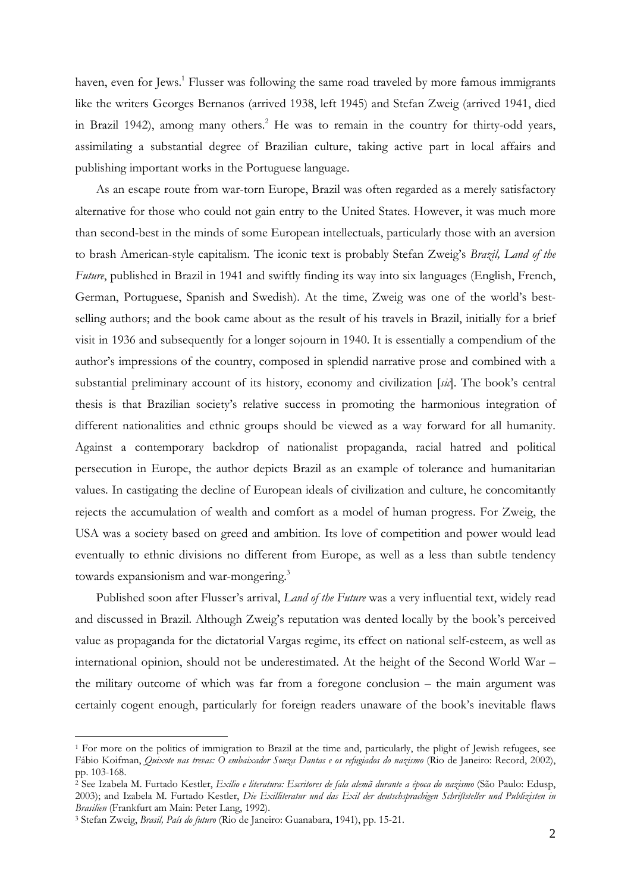haven, even for Jews.<sup>1</sup> Flusser was following the same road traveled by more famous immigrants like the writers Georges Bernanos (arrived 1938, left 1945) and Stefan Zweig (arrived 1941, died in Brazil 1942), among many others.<sup>2</sup> He was to remain in the country for thirty-odd years, assimilating a substantial degree of Brazilian culture, taking active part in local affairs and publishing important works in the Portuguese language.

As an escape route from war-torn Europe, Brazil was often regarded as a merely satisfactory alternative for those who could not gain entry to the United States. However, it was much more than second-best in the minds of some European intellectuals, particularly those with an aversion to brash American-style capitalism. The iconic text is probably Stefan Zweig's *Brazil, Land of the Future*, published in Brazil in 1941 and swiftly finding its way into six languages (English, French, German, Portuguese, Spanish and Swedish). At the time, Zweig was one of the world's bestselling authors; and the book came about as the result of his travels in Brazil, initially for a brief visit in 1936 and subsequently for a longer sojourn in 1940. It is essentially a compendium of the author's impressions of the country, composed in splendid narrative prose and combined with a substantial preliminary account of its history, economy and civilization [*sic*]. The book's central thesis is that Brazilian society's relative success in promoting the harmonious integration of different nationalities and ethnic groups should be viewed as a way forward for all humanity. Against a contemporary backdrop of nationalist propaganda, racial hatred and political persecution in Europe, the author depicts Brazil as an example of tolerance and humanitarian values. In castigating the decline of European ideals of civilization and culture, he concomitantly rejects the accumulation of wealth and comfort as a model of human progress. For Zweig, the USA was a society based on greed and ambition. Its love of competition and power would lead eventually to ethnic divisions no different from Europe, as well as a less than subtle tendency towards expansionism and war-mongering.<sup>3</sup>

Published soon after Flusser's arrival, *Land of the Future* was a very influential text, widely read and discussed in Brazil. Although Zweig's reputation was dented locally by the book's perceived value as propaganda for the dictatorial Vargas regime, its effect on national self-esteem, as well as international opinion, should not be underestimated. At the height of the Second World War – the military outcome of which was far from a foregone conclusion – the main argument was certainly cogent enough, particularly for foreign readers unaware of the book's inevitable flaws

<sup>&</sup>lt;sup>1</sup> For more on the politics of immigration to Brazil at the time and, particularly, the plight of Jewish refugees, see Fábio Koifman, *Quixote nas trevas: O embaixador Souza Dantas e os refugiados do nazismo* (Rio de Janeiro: Record, 2002), pp. 103-168.

<sup>2</sup> See Izabela M. Furtado Kestler, *Exílio e literatura: Escritores de fala alemã durante a época do nazismo* (São Paulo: Edusp, 2003); and Izabela M. Furtado Kestler, *Die Exilliteratur und das Exil der deutschsprachigen Schriftsteller und Publizisten in* 

<sup>&</sup>lt;sup>3</sup> Stefan Zweig, *Brasil, País do futuro* (Rio de Janeiro: Guanabara, 1941), pp. 15-21.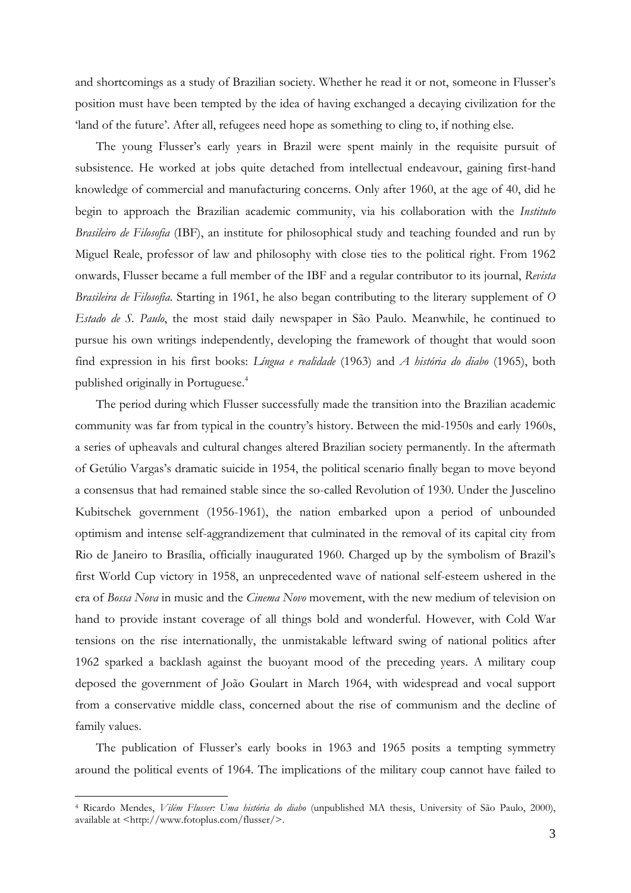and shortcomings as a study of Brazilian society. Whether he read it or not, someone in Flusser's position must have been tempted by the idea of having exchanged a decaying civilization for the 'land of the future'. After all, refugees need hope as something to cling to, if nothing else.

The young Flusser's early years in Brazil were spent mainly in the requisite pursuit of subsistence. He worked at jobs quite detached from intellectual endeavour, gaining first-hand knowledge of commercial and manufacturing concerns. Only after 1960, at the age of 40, did he begin to approach the Brazilian academic community, via his collaboration with the *Instituto Brasileiro de Filosofia* (IBF), an institute for philosophical study and teaching founded and run by Miguel Reale, professor of law and philosophy with close ties to the political right. From 1962 onwards, Flusser became a full member of the IBF and a regular contributor to its journal, *Revista Brasileira de Filosofia*. Starting in 1961, he also began contributing to the literary supplement of *O Estado de S. Paulo*, the most staid daily newspaper in São Paulo. Meanwhile, he continued to pursue his own writings independently, developing the framework of thought that would soon find expression in his first books: *Língua e realidade* (1963) and *A história do diabo* (1965), both published originally in Portuguese.4

The period during which Flusser successfully made the transition into the Brazilian academic community was far from typical in the country's history. Between the mid-1950s and early 1960s, a series of upheavals and cultural changes altered Brazilian society permanently. In the aftermath of Getúlio Vargas's dramatic suicide in 1954, the political scenario finally began to move beyond a consensus that had remained stable since the so-called Revolution of 1930. Under the Juscelino Kubitschek government (1956-1961), the nation embarked upon a period of unbounded optimism and intense self-aggrandizement that culminated in the removal of its capital city from Rio de Janeiro to Brasília, officially inaugurated 1960. Charged up by the symbolism of Brazil's first World Cup victory in 1958, an unprecedented wave of national self-esteem ushered in the era of *Bossa Nova* in music and the *Cinema Novo* movement, with the new medium of television on hand to provide instant coverage of all things bold and wonderful. However, with Cold War tensions on the rise internationally, the unmistakable leftward swing of national politics after 1962 sparked a backlash against the buoyant mood of the preceding years. A military coup deposed the government of João Goulart in March 1964, with widespread and vocal support from a conservative middle class, concerned about the rise of communism and the decline of family values.

The publication of Flusser's early books in 1963 and 1965 posits a tempting symmetry around the political events of 1964. The implications of the military coup cannot have failed to

<sup>4</sup> Ricardo Mendes, *Vilém Flusser: Uma história do diabo* (unpublished MA thesis, University of São Paulo, 2000), available at <http://www.fotoplus.com/flusser/>.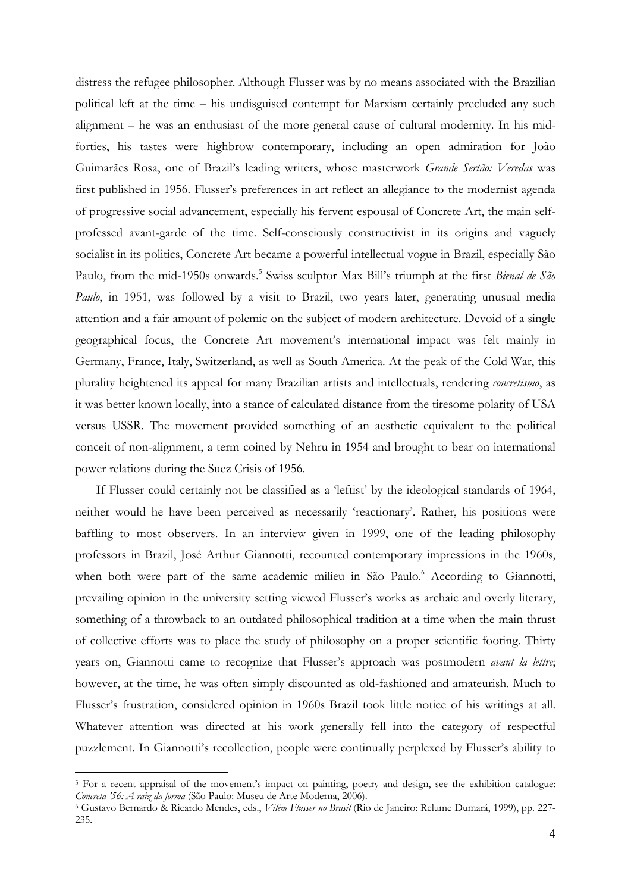distress the refugee philosopher. Although Flusser was by no means associated with the Brazilian political left at the time – his undisguised contempt for Marxism certainly precluded any such alignment – he was an enthusiast of the more general cause of cultural modernity. In his midforties, his tastes were highbrow contemporary, including an open admiration for João Guimarães Rosa, one of Brazil's leading writers, whose masterwork *Grande Sertão: Veredas* was first published in 1956. Flusser's preferences in art reflect an allegiance to the modernist agenda of progressive social advancement, especially his fervent espousal of Concrete Art, the main selfprofessed avant-garde of the time. Self-consciously constructivist in its origins and vaguely socialist in its politics, Concrete Art became a powerful intellectual vogue in Brazil, especially São Paulo, from the mid-1950s onwards.<sup>5</sup> Swiss sculptor Max Bill's triumph at the first *Bienal de São Paulo*, in 1951, was followed by a visit to Brazil, two years later, generating unusual media attention and a fair amount of polemic on the subject of modern architecture. Devoid of a single geographical focus, the Concrete Art movement's international impact was felt mainly in Germany, France, Italy, Switzerland, as well as South America. At the peak of the Cold War, this plurality heightened its appeal for many Brazilian artists and intellectuals, rendering *concretismo*, as it was better known locally, into a stance of calculated distance from the tiresome polarity of USA versus USSR. The movement provided something of an aesthetic equivalent to the political conceit of non-alignment, a term coined by Nehru in 1954 and brought to bear on international power relations during the Suez Crisis of 1956.

If Flusser could certainly not be classified as a 'leftist' by the ideological standards of 1964, neither would he have been perceived as necessarily 'reactionary'. Rather, his positions were baffling to most observers. In an interview given in 1999, one of the leading philosophy professors in Brazil, José Arthur Giannotti, recounted contemporary impressions in the 1960s, when both were part of the same academic milieu in São Paulo.<sup>6</sup> According to Giannotti, prevailing opinion in the university setting viewed Flusser's works as archaic and overly literary, something of a throwback to an outdated philosophical tradition at a time when the main thrust of collective efforts was to place the study of philosophy on a proper scientific footing. Thirty years on, Giannotti came to recognize that Flusser's approach was postmodern *avant la lettre*; however, at the time, he was often simply discounted as old-fashioned and amateurish. Much to Flusser's frustration, considered opinion in 1960s Brazil took little notice of his writings at all. Whatever attention was directed at his work generally fell into the category of respectful puzzlement. In Giannotti's recollection, people were continually perplexed by Flusser's ability to

<sup>&</sup>lt;sup>5</sup> For a recent appraisal of the movement's impact on painting, poetry and design, see the exhibition catalogue: *Concreta '56: A raiz da forma* (São Paulo: Museu de Arte Moderna, 2006).

<sup>&</sup>lt;sup>6</sup> Gustavo Bernardo & Ricardo Mendes, eds., *Vilém Flusser no Brasil* (Rio de Janeiro: Relume Dumará, 1999), pp. 227-235.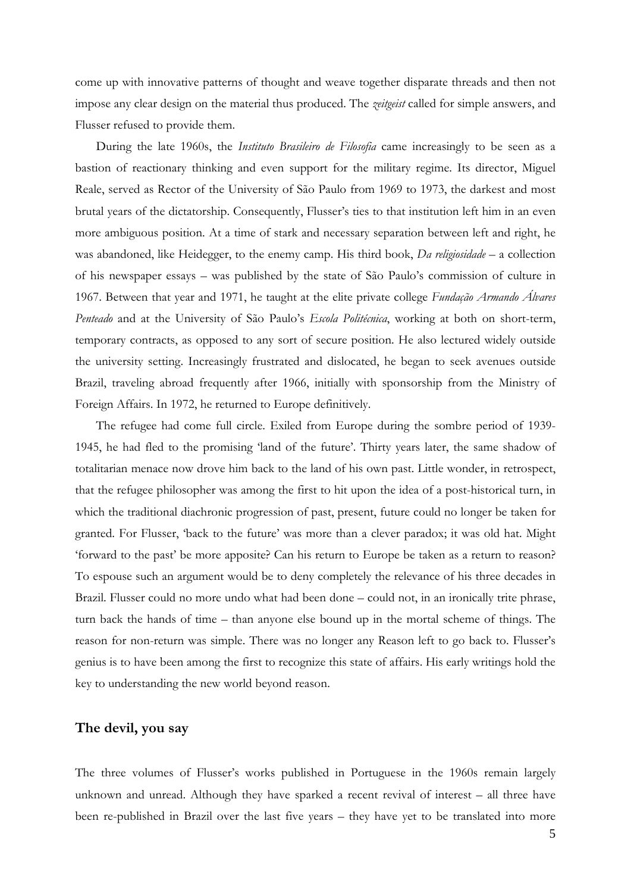come up with innovative patterns of thought and weave together disparate threads and then not impose any clear design on the material thus produced. The *zeitgeist* called for simple answers, and Flusser refused to provide them.

During the late 1960s, the *Instituto Brasileiro de Filosofia* came increasingly to be seen as a bastion of reactionary thinking and even support for the military regime. Its director, Miguel Reale, served as Rector of the University of São Paulo from 1969 to 1973, the darkest and most brutal years of the dictatorship. Consequently, Flusser's ties to that institution left him in an even more ambiguous position. At a time of stark and necessary separation between left and right, he was abandoned, like Heidegger, to the enemy camp. His third book, *Da religiosidade* – a collection of his newspaper essays – was published by the state of São Paulo's commission of culture in 1967. Between that year and 1971, he taught at the elite private college *Fundação Armando Álvares Penteado* and at the University of São Paulo's *Escola Politécnica*, working at both on short-term, temporary contracts, as opposed to any sort of secure position. He also lectured widely outside the university setting. Increasingly frustrated and dislocated, he began to seek avenues outside Brazil, traveling abroad frequently after 1966, initially with sponsorship from the Ministry of Foreign Affairs. In 1972, he returned to Europe definitively.

The refugee had come full circle. Exiled from Europe during the sombre period of 1939- 1945, he had fled to the promising 'land of the future'. Thirty years later, the same shadow of totalitarian menace now drove him back to the land of his own past. Little wonder, in retrospect, that the refugee philosopher was among the first to hit upon the idea of a post-historical turn, in which the traditional diachronic progression of past, present, future could no longer be taken for granted. For Flusser, 'back to the future' was more than a clever paradox; it was old hat. Might 'forward to the past' be more apposite? Can his return to Europe be taken as a return to reason? To espouse such an argument would be to deny completely the relevance of his three decades in Brazil. Flusser could no more undo what had been done – could not, in an ironically trite phrase, turn back the hands of time – than anyone else bound up in the mortal scheme of things. The reason for non-return was simple. There was no longer any Reason left to go back to. Flusser's genius is to have been among the first to recognize this state of affairs. His early writings hold the key to understanding the new world beyond reason.

#### **The devil, you say**

The three volumes of Flusser's works published in Portuguese in the 1960s remain largely unknown and unread. Although they have sparked a recent revival of interest – all three have been re-published in Brazil over the last five years – they have yet to be translated into more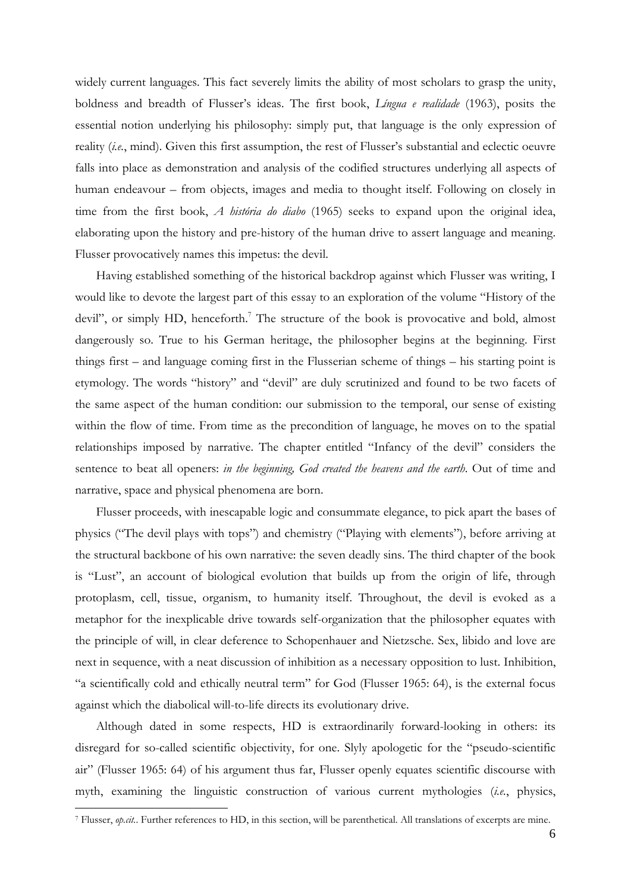widely current languages. This fact severely limits the ability of most scholars to grasp the unity, boldness and breadth of Flusser's ideas. The first book, *Língua e realidade* (1963), posits the essential notion underlying his philosophy: simply put, that language is the only expression of reality (*i.e.*, mind). Given this first assumption, the rest of Flusser's substantial and eclectic oeuvre falls into place as demonstration and analysis of the codified structures underlying all aspects of human endeavour – from objects, images and media to thought itself. Following on closely in time from the first book, *A história do diabo* (1965) seeks to expand upon the original idea, elaborating upon the history and pre-history of the human drive to assert language and meaning. Flusser provocatively names this impetus: the devil.

Having established something of the historical backdrop against which Flusser was writing, I would like to devote the largest part of this essay to an exploration of the volume "History of the devil", or simply HD, henceforth.<sup>7</sup> The structure of the book is provocative and bold, almost dangerously so. True to his German heritage, the philosopher begins at the beginning. First things first – and language coming first in the Flusserian scheme of things – his starting point is etymology. The words "history" and "devil" are duly scrutinized and found to be two facets of the same aspect of the human condition: our submission to the temporal, our sense of existing within the flow of time. From time as the precondition of language, he moves on to the spatial relationships imposed by narrative. The chapter entitled "Infancy of the devil" considers the sentence to beat all openers: *in the beginning, God created the heavens and the earth*. Out of time and narrative, space and physical phenomena are born.

Flusser proceeds, with inescapable logic and consummate elegance, to pick apart the bases of physics ("The devil plays with tops") and chemistry ("Playing with elements"), before arriving at the structural backbone of his own narrative: the seven deadly sins. The third chapter of the book is "Lust", an account of biological evolution that builds up from the origin of life, through protoplasm, cell, tissue, organism, to humanity itself. Throughout, the devil is evoked as a metaphor for the inexplicable drive towards self-organization that the philosopher equates with the principle of will, in clear deference to Schopenhauer and Nietzsche. Sex, libido and love are next in sequence, with a neat discussion of inhibition as a necessary opposition to lust. Inhibition, "a scientifically cold and ethically neutral term" for God (Flusser 1965: 64), is the external focus against which the diabolical will-to-life directs its evolutionary drive.

Although dated in some respects, HD is extraordinarily forward-looking in others: its disregard for so-called scientific objectivity, for one. Slyly apologetic for the "pseudo-scientific air" (Flusser 1965: 64) of his argument thus far, Flusser openly equates scientific discourse with myth, examining the linguistic construction of various current mythologies (*i.e.*, physics,

<sup>7</sup> Flusser, *op.cit.*. Further references to HD, in this section, will be parenthetical. All translations of excerpts are mine.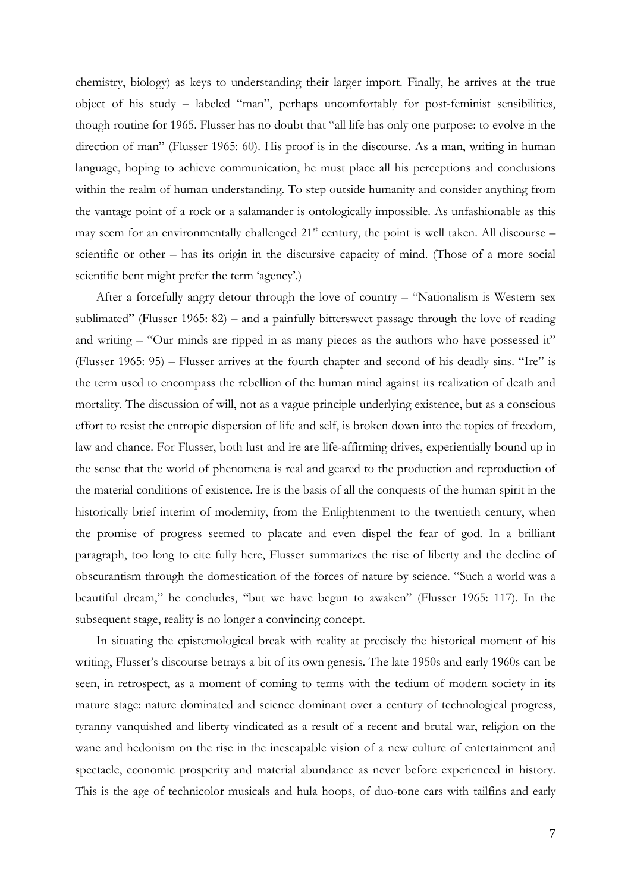chemistry, biology) as keys to understanding their larger import. Finally, he arrives at the true object of his study – labeled "man", perhaps uncomfortably for post-feminist sensibilities, though routine for 1965. Flusser has no doubt that "all life has only one purpose: to evolve in the direction of man" (Flusser 1965: 60). His proof is in the discourse. As a man, writing in human language, hoping to achieve communication, he must place all his perceptions and conclusions within the realm of human understanding. To step outside humanity and consider anything from the vantage point of a rock or a salamander is ontologically impossible. As unfashionable as this may seem for an environmentally challenged  $21<sup>st</sup>$  century, the point is well taken. All discourse – scientific or other – has its origin in the discursive capacity of mind. (Those of a more social scientific bent might prefer the term 'agency'.)

After a forcefully angry detour through the love of country – "Nationalism is Western sex sublimated" (Flusser 1965: 82) – and a painfully bittersweet passage through the love of reading and writing – "Our minds are ripped in as many pieces as the authors who have possessed it" (Flusser 1965: 95) – Flusser arrives at the fourth chapter and second of his deadly sins. "Ire" is the term used to encompass the rebellion of the human mind against its realization of death and mortality. The discussion of will, not as a vague principle underlying existence, but as a conscious effort to resist the entropic dispersion of life and self, is broken down into the topics of freedom, law and chance. For Flusser, both lust and ire are life-affirming drives, experientially bound up in the sense that the world of phenomena is real and geared to the production and reproduction of the material conditions of existence. Ire is the basis of all the conquests of the human spirit in the historically brief interim of modernity, from the Enlightenment to the twentieth century, when the promise of progress seemed to placate and even dispel the fear of god. In a brilliant paragraph, too long to cite fully here, Flusser summarizes the rise of liberty and the decline of obscurantism through the domestication of the forces of nature by science. "Such a world was a beautiful dream," he concludes, "but we have begun to awaken" (Flusser 1965: 117). In the subsequent stage, reality is no longer a convincing concept.

In situating the epistemological break with reality at precisely the historical moment of his writing, Flusser's discourse betrays a bit of its own genesis. The late 1950s and early 1960s can be seen, in retrospect, as a moment of coming to terms with the tedium of modern society in its mature stage: nature dominated and science dominant over a century of technological progress, tyranny vanquished and liberty vindicated as a result of a recent and brutal war, religion on the wane and hedonism on the rise in the inescapable vision of a new culture of entertainment and spectacle, economic prosperity and material abundance as never before experienced in history. This is the age of technicolor musicals and hula hoops, of duo-tone cars with tailfins and early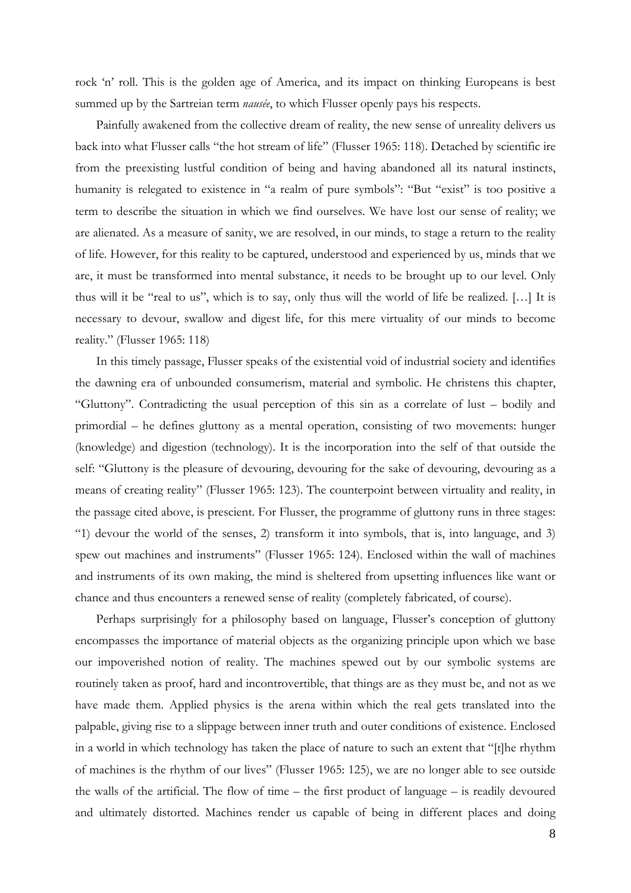rock 'n' roll. This is the golden age of America, and its impact on thinking Europeans is best summed up by the Sartreian term *nausée*, to which Flusser openly pays his respects.

Painfully awakened from the collective dream of reality, the new sense of unreality delivers us back into what Flusser calls "the hot stream of life" (Flusser 1965: 118). Detached by scientific ire from the preexisting lustful condition of being and having abandoned all its natural instincts, humanity is relegated to existence in "a realm of pure symbols": "But "exist" is too positive a term to describe the situation in which we find ourselves. We have lost our sense of reality; we are alienated. As a measure of sanity, we are resolved, in our minds, to stage a return to the reality of life. However, for this reality to be captured, understood and experienced by us, minds that we are, it must be transformed into mental substance, it needs to be brought up to our level. Only thus will it be "real to us", which is to say, only thus will the world of life be realized. […] It is necessary to devour, swallow and digest life, for this mere virtuality of our minds to become reality." (Flusser 1965: 118)

In this timely passage, Flusser speaks of the existential void of industrial society and identifies the dawning era of unbounded consumerism, material and symbolic. He christens this chapter, "Gluttony". Contradicting the usual perception of this sin as a correlate of lust – bodily and primordial – he defines gluttony as a mental operation, consisting of two movements: hunger (knowledge) and digestion (technology). It is the incorporation into the self of that outside the self: "Gluttony is the pleasure of devouring, devouring for the sake of devouring, devouring as a means of creating reality" (Flusser 1965: 123). The counterpoint between virtuality and reality, in the passage cited above, is prescient. For Flusser, the programme of gluttony runs in three stages: "1) devour the world of the senses, 2) transform it into symbols, that is, into language, and 3) spew out machines and instruments" (Flusser 1965: 124). Enclosed within the wall of machines and instruments of its own making, the mind is sheltered from upsetting influences like want or chance and thus encounters a renewed sense of reality (completely fabricated, of course).

Perhaps surprisingly for a philosophy based on language, Flusser's conception of gluttony encompasses the importance of material objects as the organizing principle upon which we base our impoverished notion of reality. The machines spewed out by our symbolic systems are routinely taken as proof, hard and incontrovertible, that things are as they must be, and not as we have made them. Applied physics is the arena within which the real gets translated into the palpable, giving rise to a slippage between inner truth and outer conditions of existence. Enclosed in a world in which technology has taken the place of nature to such an extent that "[t]he rhythm of machines is the rhythm of our lives" (Flusser 1965: 125), we are no longer able to see outside the walls of the artificial. The flow of time – the first product of language – is readily devoured and ultimately distorted. Machines render us capable of being in different places and doing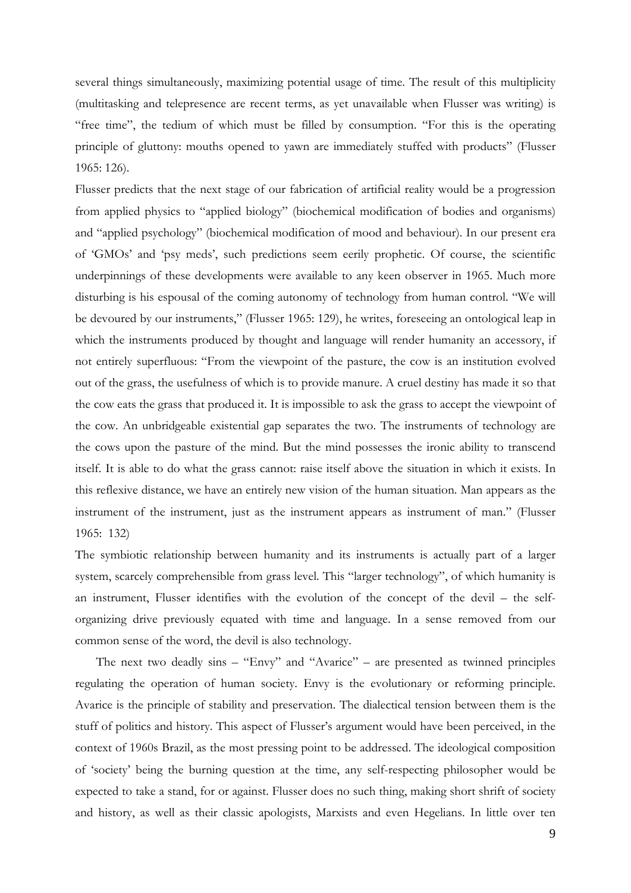several things simultaneously, maximizing potential usage of time. The result of this multiplicity (multitasking and telepresence are recent terms, as yet unavailable when Flusser was writing) is "free time", the tedium of which must be filled by consumption. "For this is the operating principle of gluttony: mouths opened to yawn are immediately stuffed with products" (Flusser 1965: 126).

Flusser predicts that the next stage of our fabrication of artificial reality would be a progression from applied physics to "applied biology" (biochemical modification of bodies and organisms) and "applied psychology" (biochemical modification of mood and behaviour). In our present era of 'GMOs' and 'psy meds', such predictions seem eerily prophetic. Of course, the scientific underpinnings of these developments were available to any keen observer in 1965. Much more disturbing is his espousal of the coming autonomy of technology from human control. "We will be devoured by our instruments," (Flusser 1965: 129), he writes, foreseeing an ontological leap in which the instruments produced by thought and language will render humanity an accessory, if not entirely superfluous: "From the viewpoint of the pasture, the cow is an institution evolved out of the grass, the usefulness of which is to provide manure. A cruel destiny has made it so that the cow eats the grass that produced it. It is impossible to ask the grass to accept the viewpoint of the cow. An unbridgeable existential gap separates the two. The instruments of technology are the cows upon the pasture of the mind. But the mind possesses the ironic ability to transcend itself. It is able to do what the grass cannot: raise itself above the situation in which it exists. In this reflexive distance, we have an entirely new vision of the human situation. Man appears as the instrument of the instrument, just as the instrument appears as instrument of man." (Flusser 1965: 132)

The symbiotic relationship between humanity and its instruments is actually part of a larger system, scarcely comprehensible from grass level. This "larger technology", of which humanity is an instrument, Flusser identifies with the evolution of the concept of the devil – the selforganizing drive previously equated with time and language. In a sense removed from our common sense of the word, the devil is also technology.

The next two deadly sins – "Envy" and "Avarice" – are presented as twinned principles regulating the operation of human society. Envy is the evolutionary or reforming principle. Avarice is the principle of stability and preservation. The dialectical tension between them is the stuff of politics and history. This aspect of Flusser's argument would have been perceived, in the context of 1960s Brazil, as the most pressing point to be addressed. The ideological composition of 'society' being the burning question at the time, any self-respecting philosopher would be expected to take a stand, for or against. Flusser does no such thing, making short shrift of society and history, as well as their classic apologists, Marxists and even Hegelians. In little over ten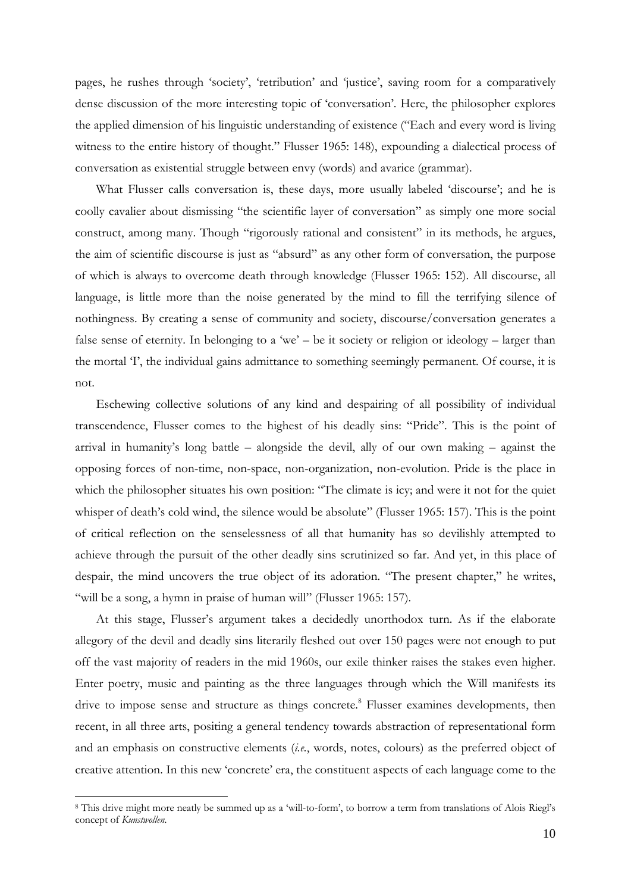pages, he rushes through 'society', 'retribution' and 'justice', saving room for a comparatively dense discussion of the more interesting topic of 'conversation'. Here, the philosopher explores the applied dimension of his linguistic understanding of existence ("Each and every word is living witness to the entire history of thought." Flusser 1965: 148), expounding a dialectical process of conversation as existential struggle between envy (words) and avarice (grammar).

What Flusser calls conversation is, these days, more usually labeled 'discourse'; and he is coolly cavalier about dismissing "the scientific layer of conversation" as simply one more social construct, among many. Though "rigorously rational and consistent" in its methods, he argues, the aim of scientific discourse is just as "absurd" as any other form of conversation, the purpose of which is always to overcome death through knowledge (Flusser 1965: 152). All discourse, all language, is little more than the noise generated by the mind to fill the terrifying silence of nothingness. By creating a sense of community and society, discourse/conversation generates a false sense of eternity. In belonging to a 'we' – be it society or religion or ideology – larger than the mortal 'I', the individual gains admittance to something seemingly permanent. Of course, it is not.

Eschewing collective solutions of any kind and despairing of all possibility of individual transcendence, Flusser comes to the highest of his deadly sins: "Pride". This is the point of arrival in humanity's long battle – alongside the devil, ally of our own making – against the opposing forces of non-time, non-space, non-organization, non-evolution. Pride is the place in which the philosopher situates his own position: "The climate is icy; and were it not for the quiet whisper of death's cold wind, the silence would be absolute" (Flusser 1965: 157). This is the point of critical reflection on the senselessness of all that humanity has so devilishly attempted to achieve through the pursuit of the other deadly sins scrutinized so far. And yet, in this place of despair, the mind uncovers the true object of its adoration. "The present chapter," he writes, "will be a song, a hymn in praise of human will" (Flusser 1965: 157).

At this stage, Flusser's argument takes a decidedly unorthodox turn. As if the elaborate allegory of the devil and deadly sins literarily fleshed out over 150 pages were not enough to put off the vast majority of readers in the mid 1960s, our exile thinker raises the stakes even higher. Enter poetry, music and painting as the three languages through which the Will manifests its drive to impose sense and structure as things concrete.<sup>8</sup> Flusser examines developments, then recent, in all three arts, positing a general tendency towards abstraction of representational form and an emphasis on constructive elements (*i.e.*, words, notes, colours) as the preferred object of creative attention. In this new 'concrete' era, the constituent aspects of each language come to the

<sup>8</sup> This drive might more neatly be summed up as a 'will-to-form', to borrow a term from translations of Alois Riegl's concept of *Kunstwollen*.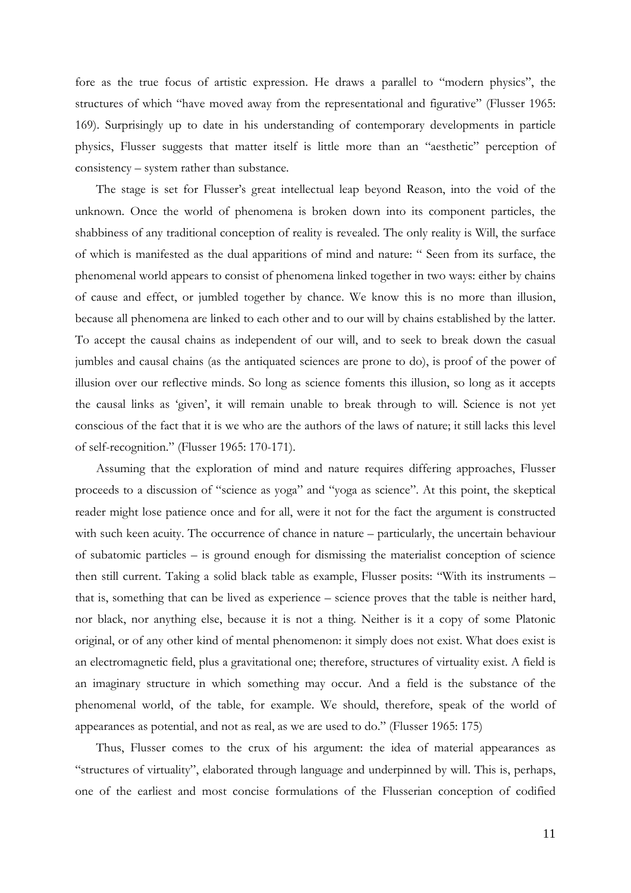fore as the true focus of artistic expression. He draws a parallel to "modern physics", the structures of which "have moved away from the representational and figurative" (Flusser 1965: 169). Surprisingly up to date in his understanding of contemporary developments in particle physics, Flusser suggests that matter itself is little more than an "aesthetic" perception of consistency – system rather than substance.

The stage is set for Flusser's great intellectual leap beyond Reason, into the void of the unknown. Once the world of phenomena is broken down into its component particles, the shabbiness of any traditional conception of reality is revealed. The only reality is Will, the surface of which is manifested as the dual apparitions of mind and nature: " Seen from its surface, the phenomenal world appears to consist of phenomena linked together in two ways: either by chains of cause and effect, or jumbled together by chance. We know this is no more than illusion, because all phenomena are linked to each other and to our will by chains established by the latter. To accept the causal chains as independent of our will, and to seek to break down the casual jumbles and causal chains (as the antiquated sciences are prone to do), is proof of the power of illusion over our reflective minds. So long as science foments this illusion, so long as it accepts the causal links as 'given', it will remain unable to break through to will. Science is not yet conscious of the fact that it is we who are the authors of the laws of nature; it still lacks this level of self-recognition." (Flusser 1965: 170-171).

Assuming that the exploration of mind and nature requires differing approaches, Flusser proceeds to a discussion of "science as yoga" and "yoga as science". At this point, the skeptical reader might lose patience once and for all, were it not for the fact the argument is constructed with such keen acuity. The occurrence of chance in nature – particularly, the uncertain behaviour of subatomic particles – is ground enough for dismissing the materialist conception of science then still current. Taking a solid black table as example, Flusser posits: "With its instruments – that is, something that can be lived as experience – science proves that the table is neither hard, nor black, nor anything else, because it is not a thing. Neither is it a copy of some Platonic original, or of any other kind of mental phenomenon: it simply does not exist. What does exist is an electromagnetic field, plus a gravitational one; therefore, structures of virtuality exist. A field is an imaginary structure in which something may occur. And a field is the substance of the phenomenal world, of the table, for example. We should, therefore, speak of the world of appearances as potential, and not as real, as we are used to do." (Flusser 1965: 175)

Thus, Flusser comes to the crux of his argument: the idea of material appearances as "structures of virtuality", elaborated through language and underpinned by will. This is, perhaps, one of the earliest and most concise formulations of the Flusserian conception of codified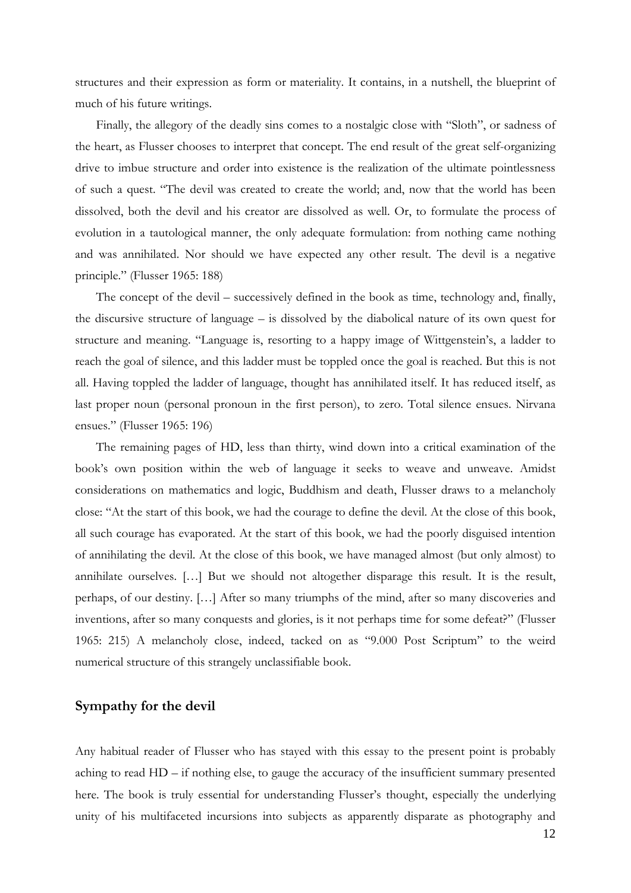structures and their expression as form or materiality. It contains, in a nutshell, the blueprint of much of his future writings.

Finally, the allegory of the deadly sins comes to a nostalgic close with "Sloth", or sadness of the heart, as Flusser chooses to interpret that concept. The end result of the great self-organizing drive to imbue structure and order into existence is the realization of the ultimate pointlessness of such a quest. "The devil was created to create the world; and, now that the world has been dissolved, both the devil and his creator are dissolved as well. Or, to formulate the process of evolution in a tautological manner, the only adequate formulation: from nothing came nothing and was annihilated. Nor should we have expected any other result. The devil is a negative principle." (Flusser 1965: 188)

The concept of the devil – successively defined in the book as time, technology and, finally, the discursive structure of language – is dissolved by the diabolical nature of its own quest for structure and meaning. "Language is, resorting to a happy image of Wittgenstein's, a ladder to reach the goal of silence, and this ladder must be toppled once the goal is reached. But this is not all. Having toppled the ladder of language, thought has annihilated itself. It has reduced itself, as last proper noun (personal pronoun in the first person), to zero. Total silence ensues. Nirvana ensues." (Flusser 1965: 196)

The remaining pages of HD, less than thirty, wind down into a critical examination of the book's own position within the web of language it seeks to weave and unweave. Amidst considerations on mathematics and logic, Buddhism and death, Flusser draws to a melancholy close: "At the start of this book, we had the courage to define the devil. At the close of this book, all such courage has evaporated. At the start of this book, we had the poorly disguised intention of annihilating the devil. At the close of this book, we have managed almost (but only almost) to annihilate ourselves. […] But we should not altogether disparage this result. It is the result, perhaps, of our destiny. […] After so many triumphs of the mind, after so many discoveries and inventions, after so many conquests and glories, is it not perhaps time for some defeat?" (Flusser 1965: 215) A melancholy close, indeed, tacked on as "9.000 Post Scriptum" to the weird numerical structure of this strangely unclassifiable book.

#### **Sympathy for the devil**

Any habitual reader of Flusser who has stayed with this essay to the present point is probably aching to read HD – if nothing else, to gauge the accuracy of the insufficient summary presented here. The book is truly essential for understanding Flusser's thought, especially the underlying unity of his multifaceted incursions into subjects as apparently disparate as photography and